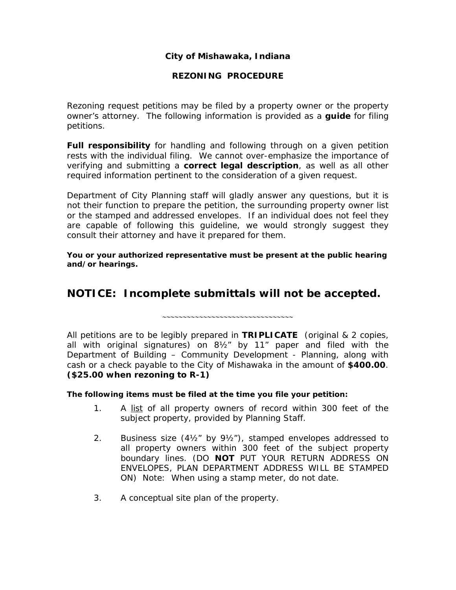### *City of Mishawaka, Indiana*

# *REZONING PROCEDURE*

Rezoning request petitions may be filed by a property owner or the property owner's attorney. The following information is provided as a *guide* for filing petitions.

**Full responsibility** for handling and following through on a given petition rests with the individual filing. We cannot over-emphasize the importance of verifying and submitting a *correct legal description*, as well as all other required information pertinent to the consideration of a given request.

Department of City Planning staff will gladly answer any questions, but it is not their function to prepare the petition, the surrounding property owner list or the stamped and addressed envelopes. If an individual does not feel they are capable of following this guideline, we would strongly suggest they consult their attorney and have it prepared for them.

**You or your authorized representative must be present at the public hearing and/or hearings.**

# **NOTICE: Incomplete submittals will not be accepted.**

∼∼∼∼∼∼∼∼∼∼∼∼∼∼∼∼∼∼∼∼∼∼∼∼∼∼∼∼∼∼∼∼

All petitions are to be legibly prepared in **TRIPLICATE** (original & 2 copies, all with original signatures) on 8½" by 11" paper and filed with the Department of Building – Community Development - Planning, along with cash or a check payable to the *City of Mishawaka* in the amount of **\$400.00**. **(\$25.00 when rezoning to R-1)**

### **The following items must be filed at the time you file your petition***:*

- 1. A list of all property owners of record within 300 feet of the subject property, provided by Planning Staff.
- 2. Business size (4½" by 9½"), stamped envelopes addressed to all property owners within 300 feet of the subject property boundary lines. (DO **NOT** PUT YOUR RETURN ADDRESS ON ENVELOPES, PLAN DEPARTMENT ADDRESS WILL BE STAMPED ON) *Note: When using a stamp meter, do not date.*
- 3. A conceptual site plan of the property.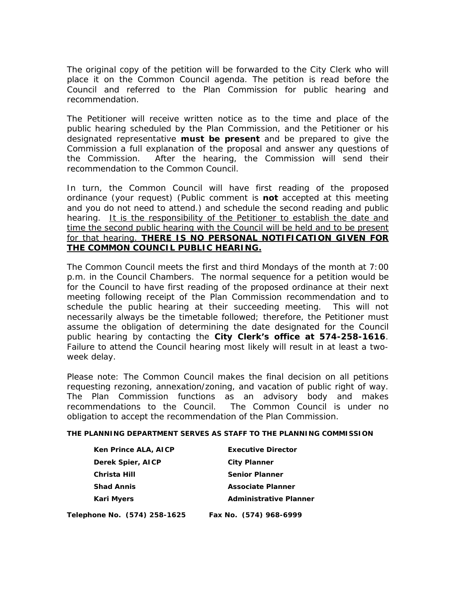The original copy of the petition will be forwarded to the City Clerk who will place it on the Common Council agenda. The petition is read before the Council and referred to the Plan Commission for public hearing and recommendation.

The Petitioner will receive written notice as to the time and place of the public hearing scheduled by the Plan Commission, and the Petitioner or his designated representative *must be present* and be prepared to give the Commission a full explanation of the proposal and answer any questions of the Commission. After the hearing, the Commission will send their recommendation to the Common Council.

In turn, the Common Council will have first reading of the proposed ordinance (your request) (Public comment is *not* accepted at this meeting and you do not need to attend.) and schedule the second reading and public hearing. *It is the responsibility of the Petitioner to establish the date and time the second public hearing with the Council will be held and to be present for that hearing. THERE IS NO PERSONAL NOTIFICATION GIVEN FOR THE COMMON COUNCIL PUBLIC HEARING.*

The Common Council meets the first and third Mondays of the month at 7:00 p.m. in the Council Chambers. The normal sequence for a petition would be for the Council to have first reading of the proposed ordinance at their next meeting following receipt of the Plan Commission recommendation and to schedule the public hearing at their succeeding meeting. *This will not necessarily always be the timetable followed*; therefore, the Petitioner must assume the obligation of determining the date designated for the Council public hearing by contacting the **City Clerk's office at 574-258-1616**. Failure to attend the Council hearing most likely will result in at least a twoweek delay.

Please note: The Common Council makes the final decision on all petitions requesting rezoning, annexation/zoning, and vacation of public right of way. The Plan Commission functions as an advisory body and makes *recommendations* to the Council. The Common Council is under no obligation to accept the recommendation of the Plan Commission.

#### **THE PLANNING DEPARTMENT SERVES AS STAFF TO THE PLANNING COMMISSION**

| <b>Ken Prince ALA, AICP</b> | <b>Executive Director</b>     |
|-----------------------------|-------------------------------|
| Derek Spier, AICP           | <b>City Planner</b>           |
| Christa Hill                | <b>Senior Planner</b>         |
| <b>Shad Annis</b>           | <b>Associate Planner</b>      |
| Kari Myers                  | <b>Administrative Planner</b> |
|                             |                               |

**Telephone No. (574) 258-1625 Fax No. (574) 968-6999**